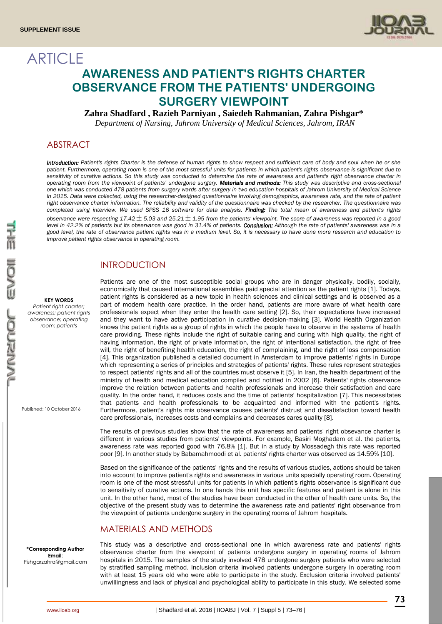**ARTICLE** 



# **AWARENESS AND PATIENT'S RIGHTS CHARTER OBSERVANCE FROM THE PATIENTS' UNDERGOING SURGERY VIEWPOINT**

**Zahra Shadfard , Razieh Parniyan , Saiedeh Rahmanian, Zahra Pishgar\***

*Department of Nursing, Jahrom University of Medical Sciences, Jahrom, IRAN*

# ABSTRACT

*Introduction: Patient's rights Charter is the defense of human rights to show respect and sufficient care of body and soul when he or she patient. Furthermore, operating room is one of the most stressful units for patients in which patient's rights observance is significant due to sensitivity of curative actions. So this study was conducted to determine the rate of awareness and patient's right observance charter in operating room from the viewpoint of patients' undergone surgery. Materials and methods: This study was descriptive and cross-sectional one which was conducted 478 patients from surgery wards after surgery in two education hospitals of Jahrom University of Medical Science in 2015. Data were collected, using the researcher-designed questionnaire involving demographics, awareness rate, and the rate of patient*  right observance charter information. The reliability and validity of the questionnaire was checked by the researcher. The questionnaire was *completed using interview. We used SPSS 16 software for data analysis. Finding: The total mean of awareness and patient's rights*  observance were respecting 17.42  $\pm$  5.03 and 25.21  $\pm$  1.95 from the patients' viewpoint. The score of awareness was reported in a good *level in 42.2% of patients but its observance was good in 31.4% of patients. Conclusion: Although the rate of patients' awareness was in a good level, the rate of observance patient rights was in a medium level. So, it is necessary to have done more research and education to improve patient rights observance in operating room.*

### INTRODUCTION

**KEY WORDS**

*Patient right charter; awareness; patient rights observance; operating room; patients* 

Published: 10 October 2016

Patients are one of the most susceptible social groups who are in danger physically, bodily, socially, economically that caused international assemblies paid special attention as the patient rights [1]. Todays, patient rights is considered as a new topic in health sciences and clinical settings and is observed as a part of modern health care practice. In the order hand, patients are more aware of what health care professionals expect when they enter the health care setting [2]. So, their expectations have increased and they want to have active participation in curative decision-making [3]. World Health Organization knows the patient rights as a group of rights in which the people have to observe in the systems of health care providing. These rights include the right of suitable caring and curing with high quality, the right of having information, the right of private information, the right of intentional satisfaction, the right of free will, the right of benefiting health education, the right of complaining, and the right of loss compensation [4]. This organization published a detailed document in Amsterdam to improve patients' rights in Europe which representing a series of principles and strategies of patients' rights. These rules represent strategies to respect patients' rights and all of the countries must observe it [5]. In Iran, the health department of the ministry of health and medical education compiled and notified in 2002 [6]. Patients' rights observance improve the relation between patients and health professionals and increase their satisfaction and care quality. In the order hand, it reduces costs and the time of patients' hospitalization [7]. This necessitates that patients and health professionals to be acquainted and informed with the patient's rights. Furthermore, patient's rights mis observance causes patients' distrust and dissatisfaction toward health care professionals, increases costs and complains and decreases cares quality [8].

The results of previous studies show that the rate of awareness and patients' right obsevance charter is different in various studies from patients' viewpoints. For example, Basiri Moghadam et al. the patients, awareness rate was reported good with 76.8% [1]. But in a study by Mossadegh this rate was reported poor [9]. In another study by Babamahmoodi et al. patients' rights charter was observed as 14.59% [10].

Based on the significance of the patients' rights and the results of various studies, actions should be taken into account to improve patient's rights and awareness in various units specially operating room. Operating room is one of the most stressful units for patients in which patient's rights observance is significant due to sensitivity of curative actions. In one hands this unit has specific features and patient is alone in this unit. In the other hand, most of the studies have been conducted in the other of health care units. So, the objective of the present study was to determine the awareness rate and patients' right observance from the viewpoint of patients undergone surgery in the operating rooms of Jahrom hospitals.

#### MATERIALS AND METHODS

**\*Corresponding Author Email**: Pishgarzahra@gmail.com This study was a descriptive and cross-sectional one in which awareness rate and patients' rights observance charter from the viewpoint of patients undergone surgery in operating rooms of Jahrom hospitals in 2015. The samples of the study involved 478 undergone surgery patients who were selected by stratified sampling method. Inclusion criteria involved patients undergone surgery in operating room with at least 15 years old who were able to participate in the study. Exclusion criteria involved patients' unwillingness and lack of physical and psychological ability to participate in this study. We selected some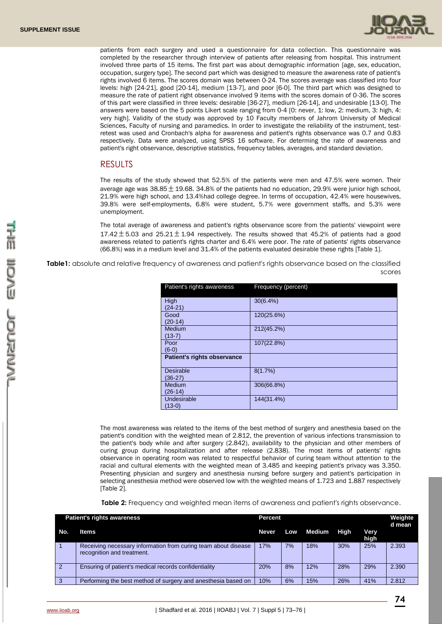

patients from each surgery and used a questionnaire for data collection. This questionnaire was completed by the researcher through interview of patients after releasing from hospital. This instrument involved three parts of 15 items. The first part was about demographic information [age, sex, education, occupation, surgery type]. The second part which was designed to measure the awareness rate of patient's rights involved 6 items. The scores domain was between 0-24. The scores average was classified into four levels: high [24-21], good [20-14], medium [13-7], and poor [6-0]. The third part which was designed to measure the rate of patient right observance involved 9 items with the scores domain of 0-36. The scores of this part were classified in three levels: desirable [36-27], medium [26-14], and undesirable [13-0]. The answers were based on the 5 points Likert scale ranging from 0-4 [0: never, 1: low, 2: medium, 3: high, 4: very high]. Validity of the study was approved by 10 Faculty members of Jahrom University of Medical Sciences, Faculty of nursing and paramedics. In order to investigate the reliability of the instrument, testretest was used and Cronbach's alpha for awareness and patient's rights observance was 0.7 and 0.83 respectively. Data were analyzed, using SPSS 16 software. For determing the rate of awareness and patient's right observance, descriptive statistics, frequency tables, averages, and standard deviation.

#### RESULTS

The results of the study showed that 52.5% of the patients were men and 47.5% were women. Their average age was 38.85  $\pm$  19.68. 34.8% of the patients had no education, 29.9% were junior high school, 21.9% were high school, and 13.4%had college degree. In terms of occupation, 42.4% were housewives, 39.8% were self-employments, 6.8% were student, 5.7% were government staffs, and 5.3% were unemployment.

The total average of awareness and patient's rights observance score from the patients' viewpoint were 17.42  $\pm$  5.03 and 25.21  $\pm$  1.94 respectively. The results showed that 45.2% of patients had a good awareness related to patient's rights charter and 6.4% were poor. The rate of patients' rights observance (66.8%) was in a medium level and 31.4% of the patients evaluated desirable these rights [Table 1].

**Table1:** absolute and relative frequency of awareness and patient's rights observance based on the classified scores

| Patient's rights awareness    | Frequency (percent) |
|-------------------------------|---------------------|
| High<br>$(24-21)$             | $30(6.4\%)$         |
| Good<br>$(20-14)$             | 120(25.6%)          |
| Medium<br>$(13-7)$            | 212(45.2%)          |
| Poor<br>$(6-0)$               | 107(22.8%)          |
| Patient's rights observance   |                     |
| <b>Desirable</b><br>$(36-27)$ | 8(1.7%)             |
| Medium<br>$(26-14)$           | 306(66.8%)          |
| Undesirable<br>$(13-0)$       | 144(31.4%)          |

The most awareness was related to the items of the best method of surgery and anesthesia based on the patient's condition with the weighted mean of 2.812, the prevention of various infections transmission to the patient's body while and after surgery (2.842), availability to the physician and other members of curing group during hospitalization and after release (2.838). The most items of patients' rights observance in operating room was related to respectful behavior of curing team without attention to the racial and cultural elements with the weighted mean of 3.485 and keeping patient's privacy was 3.350. Presenting physician and surgery and anesthesia nursing before surgery and patient's participation in selecting anesthesia method were observed low with the weighted means of 1.723 and 1.887 respectively [Table 2].

**Table 2:** Frequency and weighted mean items of awareness and patient's rights observance.

| <b>Patient's rights awareness</b> |                                                                                              | Percent |     |        |      |              | Weighte<br>d mean |
|-----------------------------------|----------------------------------------------------------------------------------------------|---------|-----|--------|------|--------------|-------------------|
| No.                               | <b>Items</b>                                                                                 | Never   | Low | Medium | High | Very<br>high |                   |
|                                   | Receiving necessary information from curing team about disease<br>recognition and treatment. | 17%     | 7%  | 18%    | 30%  | 25%          | 2.393             |
| $\overline{2}$                    | Ensuring of patient's medical records confidentiality                                        | 20%     | 8%  | 12%    | 28%  | 29%          | 2.390             |
| -3                                | Performing the best method of surgery and anesthesia based on                                | 10%     | 6%  | 15%    | 26%  | 41%          | 2.812             |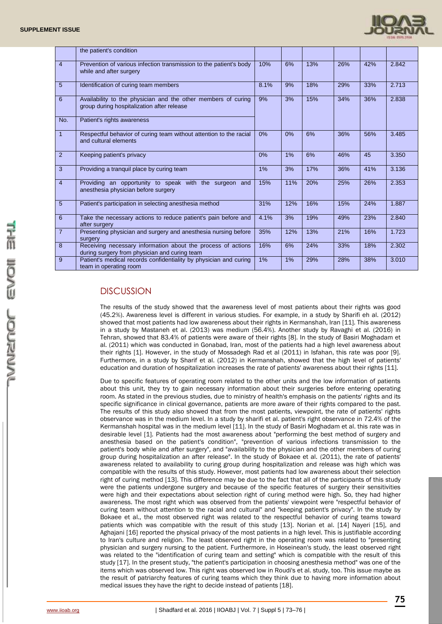

|                | the patient's condition                                                                                       |      |     |     |     |     |       |
|----------------|---------------------------------------------------------------------------------------------------------------|------|-----|-----|-----|-----|-------|
| $\overline{4}$ | Prevention of various infection transmission to the patient's body<br>while and after surgery                 | 10%  | 6%  | 13% | 26% | 42% | 2.842 |
| $\overline{5}$ | Identification of curing team members                                                                         | 8.1% | 9%  | 18% | 29% | 33% | 2.713 |
| 6              | Availability to the physician and the other members of curing<br>group during hospitalization after release   | 9%   | 3%  | 15% | 34% | 36% | 2.838 |
| No.            | Patient's rights awareness                                                                                    |      |     |     |     |     |       |
| $\mathbf{1}$   | Respectful behavior of curing team without attention to the racial<br>and cultural elements                   | 0%   | 0%  | 6%  | 36% | 56% | 3.485 |
| 2              | Keeping patient's privacy                                                                                     | 0%   | 1%  | 6%  | 46% | 45  | 3.350 |
| 3              | Providing a tranguil place by curing team                                                                     | 1%   | 3%  | 17% | 36% | 41% | 3.136 |
| $\overline{4}$ | Providing an opportunity to speak with the surgeon and<br>anesthesia physician before surgery                 | 15%  | 11% | 20% | 25% | 26% | 2.353 |
| $5\phantom{1}$ | Patient's participation in selecting anesthesia method                                                        | 31%  | 12% | 16% | 15% | 24% | 1.887 |
| 6              | Take the necessary actions to reduce patient's pain before and<br>after surgery                               | 4.1% | 3%  | 19% | 49% | 23% | 2.840 |
| $\overline{7}$ | Presenting physician and surgery and anesthesia nursing before<br>surgery                                     | 35%  | 12% | 13% | 21% | 16% | 1.723 |
| 8              | Receiving necessary information about the process of actions<br>during surgery from physician and curing team | 16%  | 6%  | 24% | 33% | 18% | 2.302 |
| 9              | Patient's medical records confidentiality by physician and curing<br>team in operating room                   | 1%   | 1%  | 29% | 28% | 38% | 3.010 |

# **DISCUSSION**

The results of the study showed that the awareness level of most patients about their rights was good (45.2%). Awareness level is different in various studies. For example, in a study by Sharifi eh al. (2012) showed that most patients had low awareness about their rights in Kermanshah, Iran [11]. This awareness in a study by Mastaneh et al. (2013) was medium (56.4%). Another study by Ravaghi et al. (2016) in Tehran, showed that 83.4% of patients were aware of their rights [8]. In the study of Basiri Moghadam et al. (2011) which was conducted in Gonabad, Iran, most of the patients had a high level awareness about their rights [1]. However, in the study of Mossadegh Rad et al (2011) in Isfahan, this rate was poor [9]. Furthermore, in a study by Sharif et al. (2012) in Kermanshah, showed that the high level of patients' education and duration of hospitalization increases the rate of patients' awareness about their rights [11].

Due to specific features of operating room related to the other units and the low information of patients about this unit, they try to gain necessary information about their surgeries before entering operating room. As stated in the previous studies, due to ministry of health's emphasis on the patients' rights and its specific significance in clinical governance, patients are more aware of their rights compared to the past. The results of this study also showed that from the most patients, viewpoint, the rate of patients' rights observance was in the medium level. In a study by sharifi et al. patient's right observance in 72.4% of the Kermanshah hospital was in the medium level [11]. In the study of Basiri Moghadam et al. this rate was in desirable level [1]. Patients had the most awareness about "performing the best method of surgery and anesthesia based on the patient's condition", "prevention of various infections transmission to the patient's body while and after surgery", and "availability to the physician and the other members of curing group during hospitalization an after release". In the study of Bokaee et al. (2011), the rate of patients' awareness related to availability to curing group during hospitalization and release was high which was compatible with the results of this study. However, most patients had low awareness about their selection right of curing method [13]. This difference may be due to the fact that all of the participants of this study were the patients undergone surgery and because of the specific features of surgery their sensitivities were high and their expectations about selection right of curing method were high. So, they had higher awareness. The most right which was observed from the patients' viewpoint were "respectful behavior of curing team without attention to the racial and cultural" and "keeping patient's privacy". In the study by Bokaee et al., the most observed right was related to the respectful behavior of curing teams toward patients which was compatible with the result of this study [13]. Norian et al. [14] Nayeri [15], and Aghajani [16] reported the physical privacy of the most patients in a high level. This is justifiable according to Iran's culture and religion. The least observed right in the operating room was related to "presenting physician and surgery nursing to the patient. Furthermore, in Hoseinean's study, the least observed right was related to the "identification of curing team and setting" which is compatible with the result of this study [17]. In the present study, "the patient's participation in choosing anesthesia method" was one of the items which was observed low. This right was observed low in Roudi's et al. study, too. This issue maybe as the result of patriarchy features of curing teams which they think due to having more information about medical issues they have the right to decide instead of patients [18].